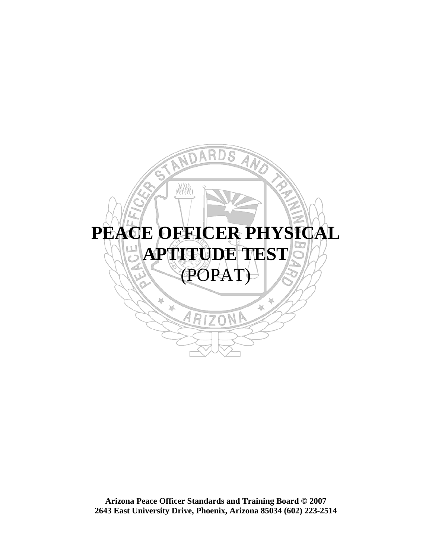

**Arizona Peace Officer Standards and Training Board © 2007 2643 East University Drive, Phoenix, Arizona 85034 (602) 223-2514**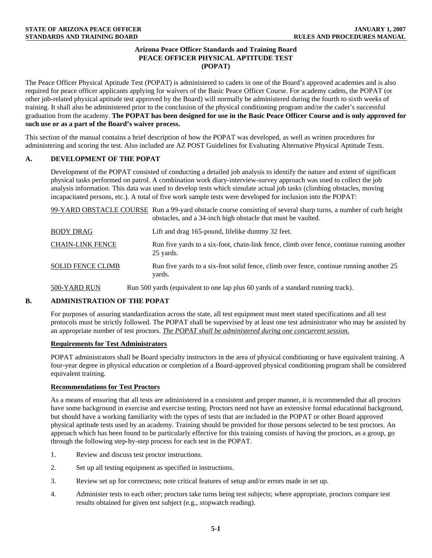## **Arizona Peace Officer Standards and Training Board PEACE OFFICER PHYSICAL APTITUDE TEST (POPAT)**

The Peace Officer Physical Aptitude Test (POPAT) is administered to cadets in one of the Board's approved academies and is also required for peace officer applicants applying for waivers of the Basic Peace Officer Course. For academy cadets, the POPAT (or other job-related physical aptitude test approved by the Board) will normally be administered during the fourth to sixth weeks of training. It shall also be administered prior to the conclusion of the physical conditioning program and/or the cadet's successful graduation from the academy. **The POPAT has been designed for use in the Basic Peace Officer Course and is only approved for such use or as a part of the Board's waiver process.**

This section of the manual contains a brief description of how the POPAT was developed, as well as written procedures for administering and scoring the test. Also included are AZ POST Guidelines for Evaluating Alternative Physical Aptitude Tests.

## **A. DEVELOPMENT OF THE POPAT**

Development of the POPAT consisted of conducting a detailed job analysis to identify the nature and extent of significant physical tasks performed on patrol. A combination work diary-interview-survey approach was used to collect the job analysis information. This data was used to develop tests which simulate actual job tasks (climbing obstacles, moving incapacitated persons, etc.). A total of five work sample tests were developed for inclusion into the POPAT:

|                          | 99-YARD OBSTACLE COURSE Run a 99-yard obstacle course consisting of several sharp turns, a number of curb height<br>obstacles, and a 34-inch high obstacle that must be vaulted. |
|--------------------------|----------------------------------------------------------------------------------------------------------------------------------------------------------------------------------|
| <b>BODY DRAG</b>         | Lift and drag 165-pound, lifelike dummy 32 feet.                                                                                                                                 |
| <b>CHAIN-LINK FENCE</b>  | Run five yards to a six-foot, chain-link fence, climb over fence, continue running another<br>25 yards.                                                                          |
| <b>SOLID FENCE CLIMB</b> | Run five yards to a six-foot solid fence, climb over fence, continue running another 25<br>yards.                                                                                |
| 500-YARD RUN             | Run 500 yards (equivalent to one lap plus 60 yards of a standard running track).                                                                                                 |

## **B. ADMINISTRATION OF THE POPAT**

For purposes of assuring standardization across the state, all test equipment must meet stated specifications and all test protocols must be strictly followed. The POPAT shall be supervised by at least one test administrator who may be assisted by an appropriate number of test proctors. *The POPAT shall be administered during one concurrent session.*

## **Requirements for Test Administrators**

POPAT administrators shall be Board specialty instructors in the area of physical conditioning or have equivalent training. A four-year degree in physical education or completion of a Board-approved physical conditioning program shall be considered equivalent training.

## **Recommendations for Test Proctors**

As a means of ensuring that all tests are administered in a consistent and proper manner, it is recommended that all proctors have some background in exercise and exercise testing. Proctors need not have an extensive formal educational background, but should have a working familiarity with the types of tests that are included in the POPAT or other Board approved physical aptitude tests used by an academy. Training should be provided for those persons selected to be test proctors. An approach which has been found to be particularly effective for this training consists of having the proctors, as a group, go through the following step-by-step process for each test in the POPAT.

- 1. Review and discuss test proctor instructions.
- 2. Set up all testing equipment as specified in instructions.
- 3. Review set up for correctness; note critical features of setup and/or errors made in set up.
- 4. Administer tests to each other; proctors take turns being test subjects; where appropriate, proctors compare test results obtained for given test subject (e.g., stopwatch reading).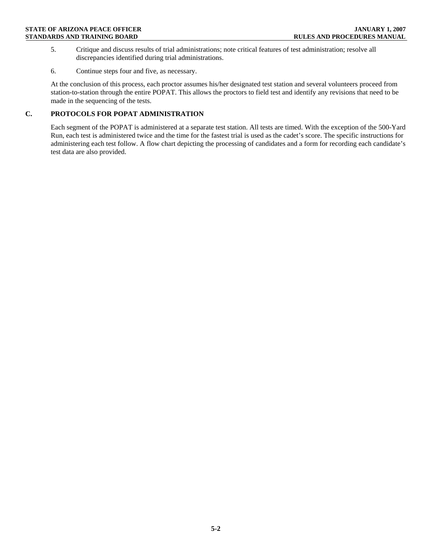- 5. Critique and discuss results of trial administrations; note critical features of test administration; resolve all discrepancies identified during trial administrations.
- 6. Continue steps four and five, as necessary.

At the conclusion of this process, each proctor assumes his/her designated test station and several volunteers proceed from station-to-station through the entire POPAT. This allows the proctors to field test and identify any revisions that need to be made in the sequencing of the tests.

## **C. PROTOCOLS FOR POPAT ADMINISTRATION**

Each segment of the POPAT is administered at a separate test station. All tests are timed. With the exception of the 500-Yard Run, each test is administered twice and the time for the fastest trial is used as the cadet's score. The specific instructions for administering each test follow. A flow chart depicting the processing of candidates and a form for recording each candidate's test data are also provided.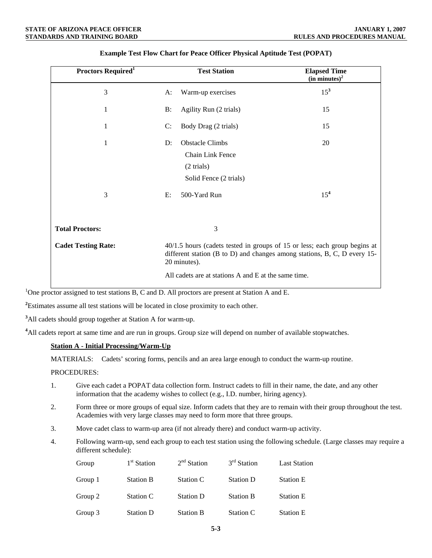| <b>Proctors Required</b> <sup>1</sup> | <b>Test Station</b>                                                                                                                                                                                                           | <b>Elapsed Time</b><br>(in minutes) <sup>2</sup> |
|---------------------------------------|-------------------------------------------------------------------------------------------------------------------------------------------------------------------------------------------------------------------------------|--------------------------------------------------|
| 3                                     | Warm-up exercises<br>A:                                                                                                                                                                                                       | $15^3$                                           |
| 1                                     | Agility Run (2 trials)<br>B:                                                                                                                                                                                                  | 15                                               |
| 1                                     | C:<br>Body Drag (2 trials)                                                                                                                                                                                                    | 15                                               |
| 1                                     | <b>Obstacle Climbs</b><br>D:<br>Chain Link Fence<br>(2 trials)<br>Solid Fence (2 trials)                                                                                                                                      | 20                                               |
| 3                                     | 500-Yard Run<br>E:                                                                                                                                                                                                            | 15 <sup>4</sup>                                  |
| <b>Total Proctors:</b>                | 3                                                                                                                                                                                                                             |                                                  |
| <b>Cadet Testing Rate:</b>            | 40/1.5 hours (cadets tested in groups of 15 or less; each group begins at<br>different station (B to D) and changes among stations, B, C, D every 15-<br>20 minutes).<br>All cadets are at stations A and E at the same time. |                                                  |

## **Example Test Flow Chart for Peace Officer Physical Aptitude Test (POPAT)**

<sup>1</sup>One proctor assigned to test stations B, C and D. All proctors are present at Station A and E.

<sup>2</sup>Estimates assume all test stations will be located in close proximity to each other.

**3** All cadets should group together at Station A for warm-up.

<sup>4</sup>All cadets report at same time and are run in groups. Group size will depend on number of available stopwatches.

## **Station A - Initial Processing/Warm-Up**

MATERIALS: Cadets' scoring forms, pencils and an area large enough to conduct the warm-up routine.

### PROCEDURES:

- 1. Give each cadet a POPAT data collection form. Instruct cadets to fill in their name, the date, and any other information that the academy wishes to collect (e.g., I.D. number, hiring agency).
- 2. Form three or more groups of equal size. Inform cadets that they are to remain with their group throughout the test. Academies with very large classes may need to form more that three groups.
- 3. Move cadet class to warm-up area (if not already there) and conduct warm-up activity.
- 4. Following warm-up, send each group to each test station using the following schedule. (Large classes may require a different schedule):

| Group   | 1 <sup>st</sup> Station | $2nd$ Station    | $3rd$ Station    | <b>Last Station</b> |
|---------|-------------------------|------------------|------------------|---------------------|
| Group 1 | <b>Station B</b>        | Station C        | <b>Station D</b> | <b>Station E</b>    |
| Group 2 | Station C               | <b>Station D</b> | <b>Station B</b> | <b>Station E</b>    |
| Group 3 | <b>Station D</b>        | <b>Station B</b> | Station C        | <b>Station E</b>    |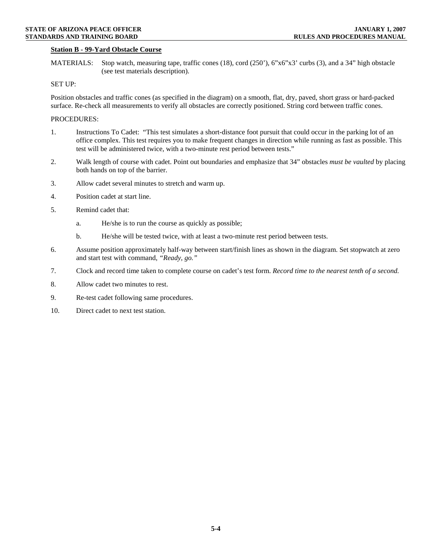#### **Station B - 99-Yard Obstacle Course**

MATERIALS: Stop watch, measuring tape, traffic cones (18), cord (250'), 6"x6"x3' curbs (3), and a 34" high obstacle (see test materials description).

### SET UP:

Position obstacles and traffic cones (as specified in the diagram) on a smooth, flat, dry, paved, short grass or hard-packed surface. Re-check all measurements to verify all obstacles are correctly positioned. String cord between traffic cones.

#### PROCEDURES:

- 1. Instructions To Cadet: "This test simulates a short-distance foot pursuit that could occur in the parking lot of an office complex. This test requires you to make frequent changes in direction while running as fast as possible. This test will be administered twice, with a two-minute rest period between tests."
- 2. Walk length of course with cadet. Point out boundaries and emphasize that 34" obstacles *must be vaulted* by placing both hands on top of the barrier.
- 3. Allow cadet several minutes to stretch and warm up.
- 4. Position cadet at start line.
- 5. Remind cadet that:
	- a. He/she is to run the course as quickly as possible;
	- b. He/she will be tested twice, with at least a two-minute rest period between tests.
- 6. Assume position approximately half-way between start/finish lines as shown in the diagram. Set stopwatch at zero and start test with command, *"Ready, go."*
- 7. Clock and record time taken to complete course on cadet's test form. *Record time to the nearest tenth of a second.*
- 8. Allow cadet two minutes to rest.
- 9. Re-test cadet following same procedures.
- 10. Direct cadet to next test station.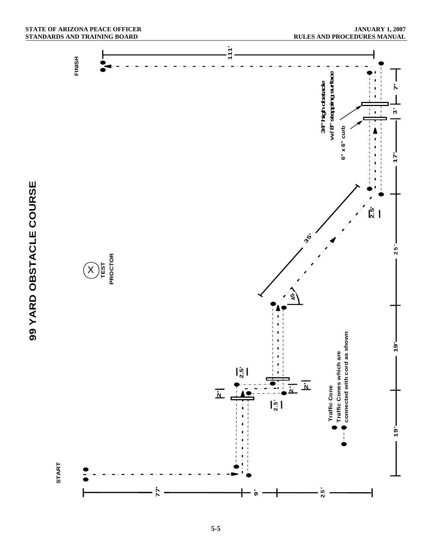

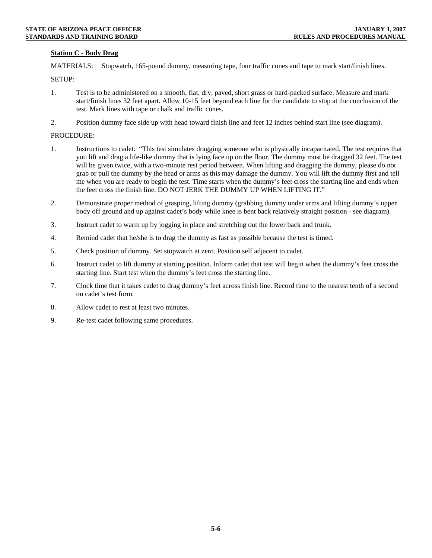## **Station C - Body Drag**

MATERIALS: Stopwatch, 165-pound dummy, measuring tape, four traffic cones and tape to mark start/finish lines.

SETUP:

- 1. Test is to be administered on a smooth, flat, dry, paved, short grass or hard-packed surface. Measure and mark start/finish lines 32 feet apart. Allow 10-15 feet beyond each line for the candidate to stop at the conclusion of the test. Mark lines with tape or chalk and traffic cones.
- 2. Position dummy face side up with head toward finish line and feet 12 inches behind start line (see diagram).

## PROCEDURE:

- 1. Instructions to cadet: "This test simulates dragging someone who is physically incapacitated. The test requires that you lift and drag a life-like dummy that is lying face up on the floor. The dummy must be dragged 32 feet. The test will be given twice, with a two-minute rest period between. When lifting and dragging the dummy, please do not grab or pull the dummy by the head or arms as this may damage the dummy. You will lift the dummy first and tell me when you are ready to begin the test. Time starts when the dummy's feet cross the starting line and ends when the feet cross the finish line. DO NOT JERK THE DUMMY UP WHEN LIFTING IT."
- 2. Demonstrate proper method of grasping, lifting dummy (grabbing dummy under arms and lifting dummy's upper body off ground and up against cadet's body while knee is bent back relatively straight position - see diagram).
- 3. Instruct cadet to warm up by jogging in place and stretching out the lower back and trunk.
- 4. Remind cadet that he/she is to drag the dummy as fast as possible because the test is timed.
- 5. Check position of dummy. Set stopwatch at zero. Position self adjacent to cadet.
- 6. Instruct cadet to lift dummy at starting position. Inform cadet that test will begin when the dummy's feet cross the starting line. Start test when the dummy's feet cross the starting line.
- 7. Clock time that it takes cadet to drag dummy's feet across finish line. Record time to the nearest tenth of a second on cadet's test form.
- 8. Allow cadet to rest at least two minutes.
- 9. Re-test cadet following same procedures.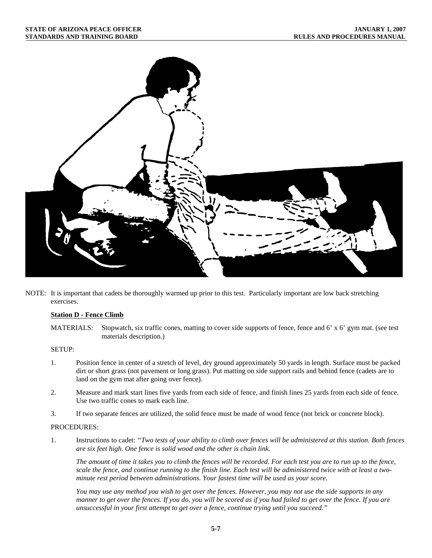

NOTE: It is important that cadets be thoroughly warmed up prior to this test. Particularly important are low back stretching exercises.

## **Station D - Fence Climb**

MATERIALS: Stopwatch, six traffic cones, matting to cover side supports of fence, fence and 6' x 6' gym mat. (see test materials description.)

## SETUP:

- 1. Position fence in center of a stretch of level, dry ground approximately 50 yards in length. Surface must be packed dirt or short grass (not pavement or long grass). Put matting on side support rails and behind fence (cadets are to land on the gym mat after going over fence).
- 2. Measure and mark start lines five yards from each side of fence, and finish lines 25 yards from each side of fence. Use two traffic cones to mark each line.
- 3. If two separate fences are utilized, the solid fence must be made of wood fence (not brick or concrete block).

#### PROCEDURES:

1. Instructions to cadet: *"Two tests of your ability to climb over fences will be administered at this station. Both fences are six feet high. One fence is solid wood and the other is chain link.*

*The amount of time it takes you to climb the fences will be recorded. For each test you are to run up to the fence, scale the fence, and continue running to the finish line. Each test will be administered twice with at least a twominute rest period between administrations. Your fastest time will be used as your score.*

*You may use any method you wish to get over the fences. However, you may not use the side supports in any manner to get over the fences. If you do, you will be scored as if you had failed to get over the fence. If you are unsuccessful in your first attempt to get over a fence, continue trying until you succeed."*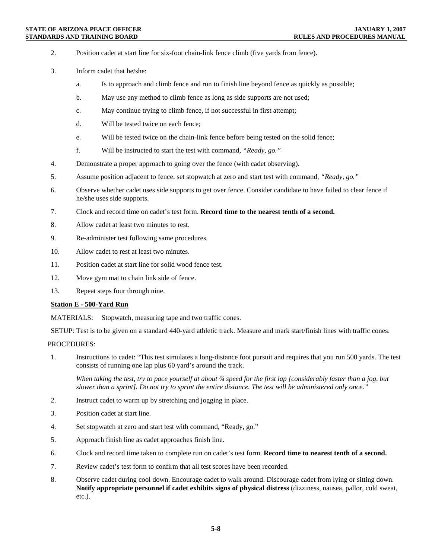- 2. Position cadet at start line for six-foot chain-link fence climb (five yards from fence).
- 3. Inform cadet that he/she:
	- a. Is to approach and climb fence and run to finish line beyond fence as quickly as possible;
	- b. May use any method to climb fence as long as side supports are not used;
	- c. May continue trying to climb fence, if not successful in first attempt;
	- d. Will be tested twice on each fence;
	- e. Will be tested twice on the chain-link fence before being tested on the solid fence;
	- f. Will be instructed to start the test with command, *"Ready, go."*
- 4. Demonstrate a proper approach to going over the fence (with cadet observing).
- 5. Assume position adjacent to fence, set stopwatch at zero and start test with command, *"Ready, go."*
- 6. Observe whether cadet uses side supports to get over fence. Consider candidate to have failed to clear fence if he/she uses side supports.
- 7. Clock and record time on cadet's test form. **Record time to the nearest tenth of a second.**
- 8. Allow cadet at least two minutes to rest.
- 9. Re-administer test following same procedures.
- 10. Allow cadet to rest at least two minutes.
- 11. Position cadet at start line for solid wood fence test.
- 12. Move gym mat to chain link side of fence.
- 13. Repeat steps four through nine.

## **Station E - 500-Yard Run**

MATERIALS: Stopwatch, measuring tape and two traffic cones.

SETUP: Test is to be given on a standard 440-yard athletic track. Measure and mark start/finish lines with traffic cones.

#### PROCEDURES:

1. Instructions to cadet: "This test simulates a long-distance foot pursuit and requires that you run 500 yards. The test consists of running one lap plus 60 yard's around the track.

*When taking the test, try to pace yourself at about ¾ speed for the first lap [considerably faster than a jog, but slower than a sprint]. Do not try to sprint the entire distance. The test will be administered only once."*

- 2. Instruct cadet to warm up by stretching and jogging in place.
- 3. Position cadet at start line.
- 4. Set stopwatch at zero and start test with command, "Ready, go."
- 5. Approach finish line as cadet approaches finish line.
- 6. Clock and record time taken to complete run on cadet's test form. **Record time to nearest tenth of a second.**
- 7. Review cadet's test form to confirm that all test scores have been recorded.
- 8. Observe cadet during cool down. Encourage cadet to walk around. Discourage cadet from lying or sitting down. **Notify appropriate personnel if cadet exhibits signs of physical distress** (dizziness, nausea, pallor, cold sweat, etc.).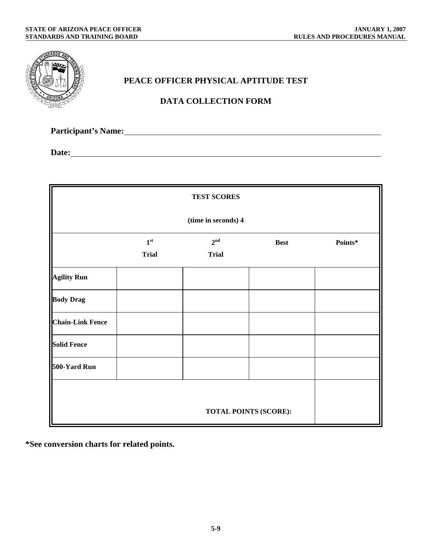

## **PEACE OFFICER PHYSICAL APTITUDE TEST**

## **DATA COLLECTION FORM**

**Participant's Name:**

**Date:**

|                         |                              | <b>TEST SCORES</b>              |                       |         |  |  |  |  |  |  |  |
|-------------------------|------------------------------|---------------------------------|-----------------------|---------|--|--|--|--|--|--|--|
| (time in seconds) 4     |                              |                                 |                       |         |  |  |  |  |  |  |  |
|                         | $1^{\rm st}$<br><b>Trial</b> | 2 <sup>nd</sup><br><b>Trial</b> | <b>Best</b>           | Points* |  |  |  |  |  |  |  |
| <b>Agility Run</b>      |                              |                                 |                       |         |  |  |  |  |  |  |  |
| <b>Body Drag</b>        |                              |                                 |                       |         |  |  |  |  |  |  |  |
| <b>Chain-Link Fence</b> |                              |                                 |                       |         |  |  |  |  |  |  |  |
| <b>Solid Fence</b>      |                              |                                 |                       |         |  |  |  |  |  |  |  |
| 500-Yard Run            |                              |                                 |                       |         |  |  |  |  |  |  |  |
|                         |                              |                                 | TOTAL POINTS (SCORE): |         |  |  |  |  |  |  |  |

**\*See conversion charts for related points.**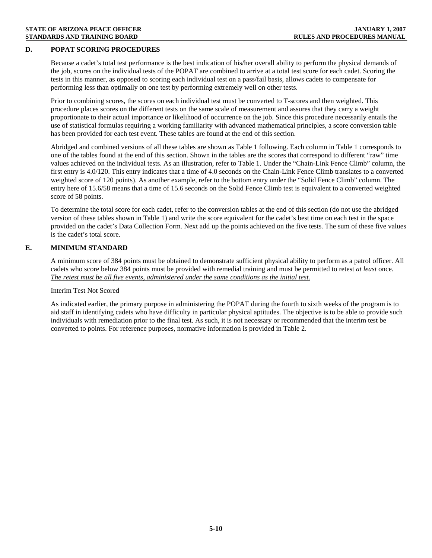## **D. POPAT SCORING PROCEDURES**

Because a cadet's total test performance is the best indication of his/her overall ability to perform the physical demands of the job, scores on the individual tests of the POPAT are combined to arrive at a total test score for each cadet. Scoring the tests in this manner, as opposed to scoring each individual test on a pass/fail basis, allows cadets to compensate for performing less than optimally on one test by performing extremely well on other tests.

Prior to combining scores, the scores on each individual test must be converted to T-scores and then weighted. This procedure places scores on the different tests on the same scale of measurement and assures that they carry a weight proportionate to their actual importance or likelihood of occurrence on the job. Since this procedure necessarily entails the use of statistical formulas requiring a working familiarity with advanced mathematical principles, a score conversion table has been provided for each test event. These tables are found at the end of this section.

Abridged and combined versions of all these tables are shown as Table 1 following. Each column in Table 1 corresponds to one of the tables found at the end of this section. Shown in the tables are the scores that correspond to different "raw" time values achieved on the individual tests. As an illustration, refer to Table 1. Under the "Chain-Link Fence Climb" column, the first entry is 4.0/120. This entry indicates that a time of 4.0 seconds on the Chain-Link Fence Climb translates to a converted weighted score of 120 points). As another example, refer to the bottom entry under the "Solid Fence Climb" column. The entry here of 15.6/58 means that a time of 15.6 seconds on the Solid Fence Climb test is equivalent to a converted weighted score of 58 points.

To determine the total score for each cadet, refer to the conversion tables at the end of this section (do not use the abridged version of these tables shown in Table 1) and write the score equivalent for the cadet's best time on each test in the space provided on the cadet's Data Collection Form. Next add up the points achieved on the five tests. The sum of these five values is the cadet's total score.

## **E. MINIMUM STANDARD**

A minimum score of 384 points must be obtained to demonstrate sufficient physical ability to perform as a patrol officer. All cadets who score below 384 points must be provided with remedial training and must be permitted to retest *at least* once. *The retest must be all five events, administered under the same conditions as the initial test.*

## Interim Test Not Scored

As indicated earlier, the primary purpose in administering the POPAT during the fourth to sixth weeks of the program is to aid staff in identifying cadets who have difficulty in particular physical aptitudes. The objective is to be able to provide such individuals with remediation prior to the final test. As such, it is not necessary or recommended that the interim test be converted to points. For reference purposes, normative information is provided in Table 2.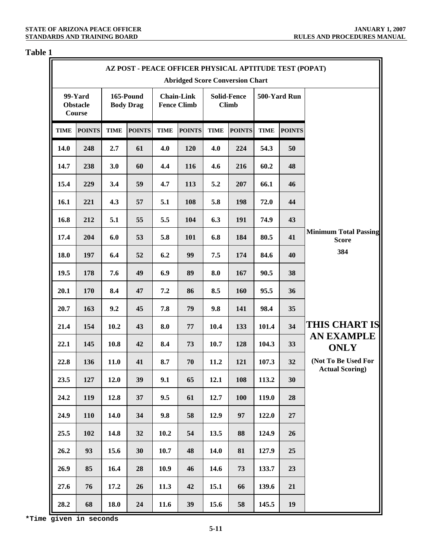$\overline{\phantom{a}}$ 

| <b>Table 1</b> |                                                                                                  |             |                               |             |                                         |             |                                    |             |               |                                               |  |  |  |  |
|----------------|--------------------------------------------------------------------------------------------------|-------------|-------------------------------|-------------|-----------------------------------------|-------------|------------------------------------|-------------|---------------|-----------------------------------------------|--|--|--|--|
|                | AZ POST - PEACE OFFICER PHYSICAL APTITUDE TEST (POPAT)<br><b>Abridged Score Conversion Chart</b> |             |                               |             |                                         |             |                                    |             |               |                                               |  |  |  |  |
|                | 99-Yard<br><b>Obstacle</b><br>Course                                                             |             | 165-Pound<br><b>Body Drag</b> |             | <b>Chain-Link</b><br><b>Fence Climb</b> |             | <b>Solid-Fence</b><br><b>Climb</b> |             | 500-Yard Run  |                                               |  |  |  |  |
| <b>TIME</b>    | <b>POINTS</b>                                                                                    | <b>TIME</b> | <b>POINTS</b>                 | <b>TIME</b> | <b>POINTS</b>                           | <b>TIME</b> | <b>POINTS</b>                      | <b>TIME</b> | <b>POINTS</b> |                                               |  |  |  |  |
| 14.0           | 248                                                                                              | 2.7         | 61                            | 4.0         | 120                                     | 4.0         | 224                                | 54.3        | 50            |                                               |  |  |  |  |
| 14.7           | 238                                                                                              | 3.0         | 60                            | 4.4         | 116                                     | 4.6         | 216                                | 60.2        | 48            |                                               |  |  |  |  |
| 15.4           | 229                                                                                              | 3.4         | 59                            | 4.7         | 113                                     | 5.2         | 207                                | 66.1        | 46            |                                               |  |  |  |  |
| 16.1           | 221                                                                                              | 4.3         | 57                            | 5.1         | 108                                     | 5.8         | 198                                | 72.0        | 44            |                                               |  |  |  |  |
| 16.8           | 212                                                                                              | 5.1         | 55                            | 5.5         | 104                                     | 6.3         | 191                                | 74.9        | 43            |                                               |  |  |  |  |
| 17.4           | 204                                                                                              | 6.0         | 53                            | 5.8         | 101                                     | 6.8         | 184                                | 80.5        | 41            | <b>Minimum Total Passing</b><br><b>Score</b>  |  |  |  |  |
| 18.0           | 197                                                                                              | 6.4         | 52                            | 6.2         | 99                                      | 7.5         | 174                                | 84.6        | 40            | 384                                           |  |  |  |  |
| 19.5           | 178                                                                                              | 7.6         | 49                            | 6.9         | 89                                      | 8.0         | 167                                | 90.5        | 38            |                                               |  |  |  |  |
| 20.1           | 170                                                                                              | 8.4         | 47                            | 7.2         | 86                                      | 8.5         | 160                                | 95.5        | 36            |                                               |  |  |  |  |
| 20.7           | 163                                                                                              | 9.2         | 45                            | 7.8         | 79                                      | 9.8         | 141                                | 98.4        | 35            |                                               |  |  |  |  |
| 21.4           | 154                                                                                              | 10.2        | 43                            | 8.0         | 77                                      | 10.4        | 133                                | 101.4       | 34            | <b>THIS CHART IS</b>                          |  |  |  |  |
| 22.1           | 145                                                                                              | 10.8        | 42                            | 8.4         | 73                                      | 10.7        | 128                                | 104.3       | 33            | <b>AN EXAMPLE</b><br><b>ONLY</b>              |  |  |  |  |
| 22.8           | 136                                                                                              | 11.0        | 41                            | 8.7         | 70                                      | 11.2        | 121                                | 107.3       | 32            | (Not To Be Used For<br><b>Actual Scoring)</b> |  |  |  |  |
| 23.5           | 127                                                                                              | 12.0        | 39                            | 9.1         | 65                                      | 12.1        | 108                                | 113.2       | 30            |                                               |  |  |  |  |
| 24.2           | 119                                                                                              | 12.8        | 37                            | 9.5         | 61                                      | 12.7        | <b>100</b>                         | 119.0       | 28            |                                               |  |  |  |  |
| 24.9           | <b>110</b>                                                                                       | <b>14.0</b> | 34                            | 9.8         | 58                                      | 12.9        | 97                                 | 122.0       | 27            |                                               |  |  |  |  |
| 25.5           | 102                                                                                              | 14.8        | 32                            | 10.2        | 54                                      | 13.5        | 88                                 | 124.9       | 26            |                                               |  |  |  |  |
| 26.2           | 93                                                                                               | 15.6        | 30                            | 10.7        | 48                                      | 14.0        | 81                                 | 127.9       | 25            |                                               |  |  |  |  |
| 26.9           | 85                                                                                               | 16.4        | 28                            | 10.9        | 46                                      | 14.6        | 73                                 | 133.7       | 23            |                                               |  |  |  |  |
| 27.6           | 76                                                                                               | 17.2        | 26                            | 11.3        | 42                                      | 15.1        | 66                                 | 139.6       | 21            |                                               |  |  |  |  |
| 28.2           | 68                                                                                               | 18.0        | 24                            | 11.6        | 39                                      | 15.6        | 58                                 | 145.5       | 19            |                                               |  |  |  |  |

**\*Time given in seconds**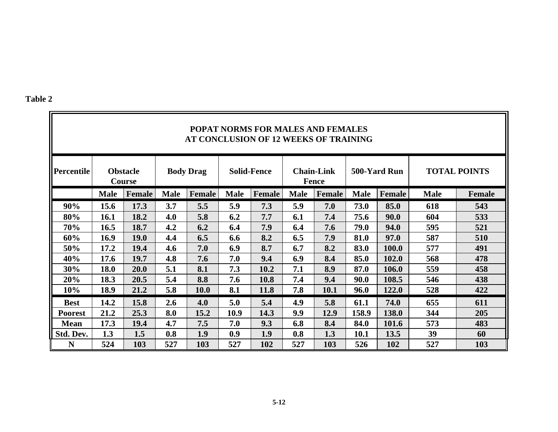## **Table 2**

|                | <b>POPAT NORMS FOR MALES AND FEMALES</b><br>AT CONCLUSION OF 12 WEEKS OF TRAINING |               |             |                                        |             |        |                            |        |              |        |                     |               |  |  |
|----------------|-----------------------------------------------------------------------------------|---------------|-------------|----------------------------------------|-------------|--------|----------------------------|--------|--------------|--------|---------------------|---------------|--|--|
| Percentile     | <b>Obstacle</b><br><b>Course</b>                                                  |               |             | <b>Body Drag</b><br><b>Solid-Fence</b> |             |        | <b>Chain-Link</b><br>Fence |        | 500-Yard Run |        | <b>TOTAL POINTS</b> |               |  |  |
|                | <b>Male</b>                                                                       | <b>Female</b> | <b>Male</b> | Female                                 | <b>Male</b> | Female | <b>Male</b>                | Female | <b>Male</b>  | Female | <b>Male</b>         | <b>Female</b> |  |  |
| 90%            | 15.6                                                                              | 17.3          | 3.7         | 5.5                                    | 5.9         | 7.3    | 5.9                        | 7.0    | 73.0         | 85.0   | 618                 | 543           |  |  |
| 80%            | 16.1                                                                              | 18.2          | 4.0         | 5.8                                    | 6.2         | 7.7    | 6.1                        | 7.4    | 75.6         | 90.0   | 604                 | 533           |  |  |
| 70%            | 16.5                                                                              | 18.7          | 4.2         | 6.2                                    | 6.4         | 7.9    | 6.4                        | 7.6    | 79.0         | 94.0   | 595                 | 521           |  |  |
| 60%            | 16.9                                                                              | <b>19.0</b>   | 4.4         | 6.5                                    | 6.6         | 8.2    | 6.5                        | 7.9    | 81.0         | 97.0   | 587                 | 510           |  |  |
| 50%            | 17.2                                                                              | 19.4          | 4.6         | 7.0                                    | 6.9         | 8.7    | 6.7                        | 8.2    | 83.0         | 100.0  | 577                 | 491           |  |  |
| 40%            | 17.6                                                                              | 19.7          | 4.8         | 7.6                                    | 7.0         | 9.4    | 6.9                        | 8.4    | 85.0         | 102.0  | 568                 | 478           |  |  |
| 30%            | 18.0                                                                              | 20.0          | 5.1         | 8.1                                    | 7.3         | 10.2   | 7.1                        | 8.9    | 87.0         | 106.0  | 559                 | 458           |  |  |
| 20%            | 18.3                                                                              | 20.5          | 5.4         | 8.8                                    | 7.6         | 10.8   | 7.4                        | 9.4    | 90.0         | 108.5  | 546                 | 438           |  |  |
| 10%            | 18.9                                                                              | 21.2          | 5.8         | <b>10.0</b>                            | 8.1         | 11.8   | 7.8                        | 10.1   | 96.0         | 122.0  | 528                 | 422           |  |  |
| <b>Best</b>    | 14.2                                                                              | 15.8          | 2.6         | 4.0                                    | 5.0         | 5.4    | 4.9                        | 5.8    | 61.1         | 74.0   | 655                 | 611           |  |  |
| <b>Poorest</b> | 21.2                                                                              | 25.3          | 8.0         | 15.2                                   | 10.9        | 14.3   | 9.9                        | 12.9   | 158.9        | 138.0  | 344                 | 205           |  |  |
| <b>Mean</b>    | 17.3                                                                              | 19.4          | 4.7         | 7.5                                    | 7.0         | 9.3    | 6.8                        | 8.4    | 84.0         | 101.6  | 573                 | 483           |  |  |
| Std. Dev.      | 1.3                                                                               | 1.5           | 0.8         | 1.9                                    | 0.9         | 1.9    | 0.8                        | 1.3    | 10.1         | 13.5   | 39                  | 60            |  |  |
| N              | 524                                                                               | 103           | 527         | 103                                    | 527         | 102    | 527                        | 103    | 526          | 102    | 527                 | 103           |  |  |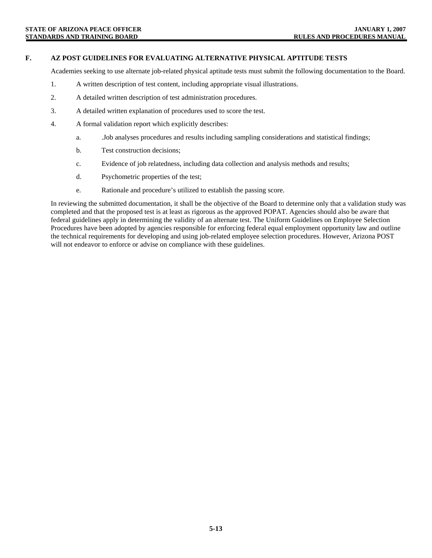## **F. AZ POST GUIDELINES FOR EVALUATING ALTERNATIVE PHYSICAL APTITUDE TESTS**

Academies seeking to use alternate job-related physical aptitude tests must submit the following documentation to the Board.

- 1. A written description of test content, including appropriate visual illustrations.
- 2. A detailed written description of test administration procedures.
- 3. A detailed written explanation of procedures used to score the test.
- 4. A formal validation report which explicitly describes:
	- a. .Job analyses procedures and results including sampling considerations and statistical findings;
	- b. Test construction decisions;
	- c. Evidence of job relatedness, including data collection and analysis methods and results;
	- d. Psychometric properties of the test;
	- e. Rationale and procedure's utilized to establish the passing score.

In reviewing the submitted documentation, it shall be the objective of the Board to determine only that a validation study was completed and that the proposed test is at least as rigorous as the approved POPAT. Agencies should also be aware that federal guidelines apply in determining the validity of an alternate test. The Uniform Guidelines on Employee Selection Procedures have been adopted by agencies responsible for enforcing federal equal employment opportunity law and outline the technical requirements for developing and using job-related employee selection procedures. However, Arizona POST will not endeavor to enforce or advise on compliance with these guidelines.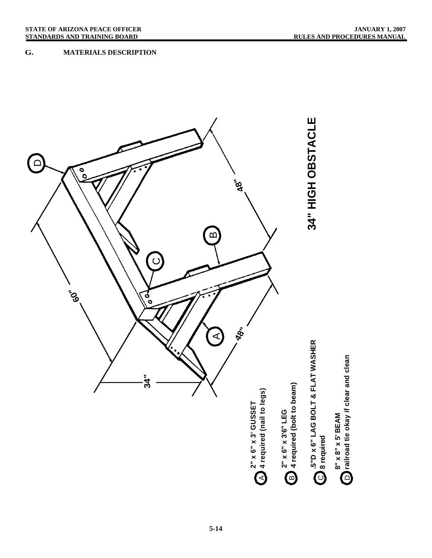## **G. MATERIALS DESCRIPTION**

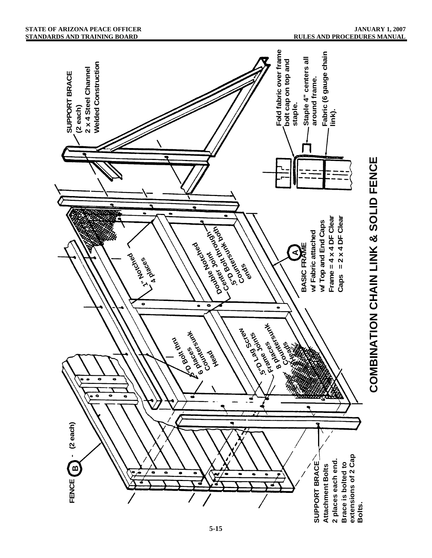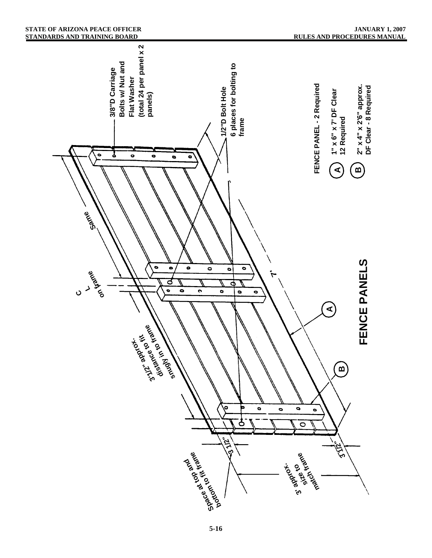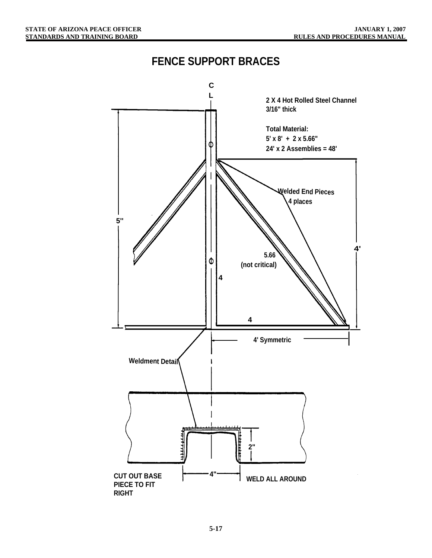# **FENCE SUPPORT BRACES**

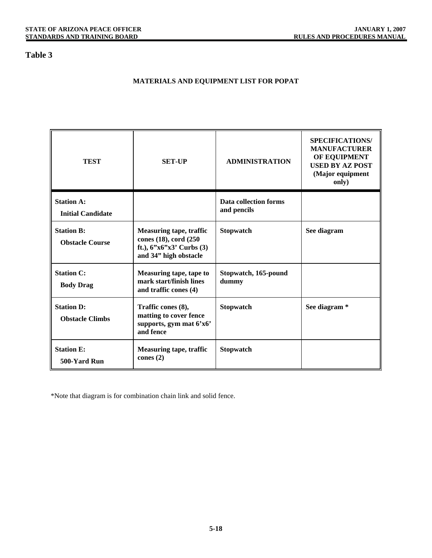## **Table 3**

## **MATERIALS AND EQUIPMENT LIST FOR POPAT**

| <b>TEST</b>                                   | <b>SET-UP</b>                                                                                                    | <b>ADMINISTRATION</b>                | <b>SPECIFICATIONS/</b><br><b>MANUFACTURER</b><br>OF EQUIPMENT<br><b>USED BY AZ POST</b><br>(Major equipment<br>only) |
|-----------------------------------------------|------------------------------------------------------------------------------------------------------------------|--------------------------------------|----------------------------------------------------------------------------------------------------------------------|
| <b>Station A:</b><br><b>Initial Candidate</b> |                                                                                                                  | Data collection forms<br>and pencils |                                                                                                                      |
| <b>Station B:</b><br><b>Obstacle Course</b>   | <b>Measuring tape, traffic</b><br>cones (18), cord (250<br>ft.), $6''x6''x3'$ Curbs (3)<br>and 34" high obstacle | <b>Stopwatch</b>                     | See diagram                                                                                                          |
| <b>Station C:</b><br><b>Body Drag</b>         | Measuring tape, tape to<br>mark start/finish lines<br>and traffic cones (4)                                      | Stopwatch, 165-pound<br>dummy        |                                                                                                                      |
| <b>Station D:</b><br><b>Obstacle Climbs</b>   | Traffic cones (8),<br>matting to cover fence<br>supports, gym mat 6'x6'<br>and fence                             | <b>Stopwatch</b>                     | See diagram *                                                                                                        |
| <b>Station E:</b><br>500-Yard Run             | <b>Measuring tape, traffic</b><br>cones $(2)$                                                                    | <b>Stopwatch</b>                     |                                                                                                                      |

\*Note that diagram is for combination chain link and solid fence.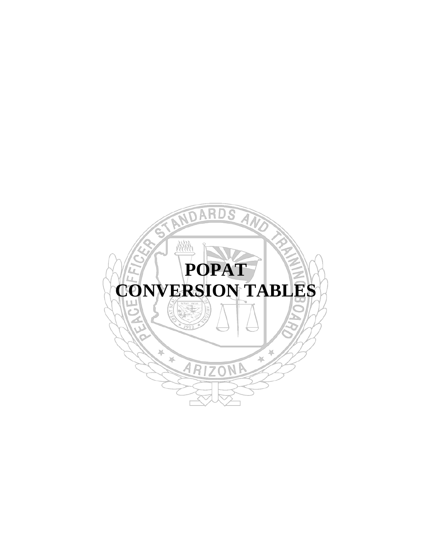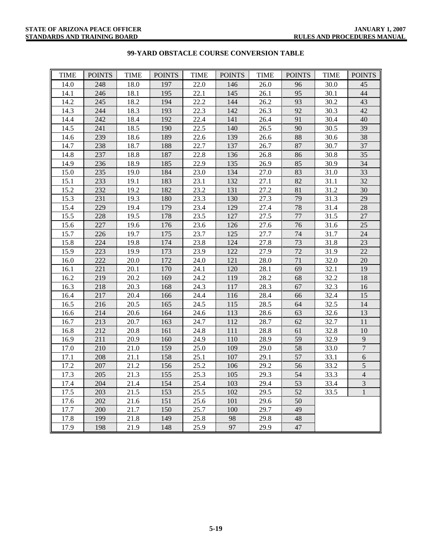| <b>TIME</b> | <b>POINTS</b> | <b>TIME</b> | <b>POINTS</b> | <b>TIME</b>       | <b>POINTS</b> | <b>TIME</b> | <b>POINTS</b> | <b>TIME</b> | <b>POINTS</b>    |
|-------------|---------------|-------------|---------------|-------------------|---------------|-------------|---------------|-------------|------------------|
| 14.0        | 248           | 18.0        | 197           | 22.0              | 146           | 26.0        | 96            | 30.0        | 45               |
| 14.1        | 246           | 18.1        | 195           | 22.1              | 145           | 26.1        | 95            | 30.1        | 44               |
| 14.2        | 245           | 18.2        | 194           | 22.2              | 144           | 26.2        | 93            | 30.2        | 43               |
| 14.3        | 244           | 18.3        | 193           | 22.3              | 142           | 26.3        | 92            | 30.3        | 42               |
| 14.4        | 242           | 18.4        | 192           | 22.4              | 141           | 26.4        | 91            | 30.4        | 40               |
| 14.5        | 241           | 18.5        | 190           | 22.5              | 140           | 26.5        | 90            | 30.5        | 39               |
| 14.6        | 239           | 18.6        | 189           | 22.6              | 139           | 26.6        | 88            | 30.6        | 38               |
| 14.7        | 238           | 18.7        | 188           | 22.7              | 137           | 26.7        | 87            | 30.7        | 37               |
| 14.8        | 237           | 18.8        | 187           | 22.8              | 136           | 26.8        | 86            | 30.8        | 35               |
| 14.9        | 236           | 18.9        | 185           | 22.9              | 135           | 26.9        | 85            | 30.9        | 34               |
| 15.0        | 235           | 19.0        | 184           | 23.0              | 134           | 27.0        | 83            | 31.0        | 33               |
| 15.1        | 233           | 19.1        | 183           | 23.1              | 132           | 27.1        | 82            | 31.1        | 32               |
| 15.2        | 232           | 19.2        | 182           | 23.2              | 131           | 27.2        | 81            | 31.2        | 30               |
| 15.3        | 231           | 19.3        | 180           | 23.3              | 130           | 27.3        | 79            | 31.3        | 29               |
| 15.4        | 229           | 19.4        | 179           | 23.4              | 129           | 27.4        | 78            | 31.4        | $28\,$           |
| 15.5        | 228           | 19.5        | 178           | 23.5              | 127           | 27.5        | 77            | 31.5        | $27\,$           |
| 15.6        | 227           | 19.6        | 176           | 23.6              | 126           | 27.6        | 76            | 31.6        | 25               |
| 15.7        | 226           | 19.7        | 175           | 23.7              | 125           | 27.7        | 74            | 31.7        | 24               |
| 15.8        | 224           | 19.8        | 174           | 23.8              | 124           | 27.8        | 73            | 31.8        | 23               |
| 15.9        | 223           | 19.9        | 173           | 23.9              | 122           | 27.9        | 72            | 31.9        | 22               |
| 16.0        | 222           | 20.0        | 172           | 24.0              | 121           | 28.0        | 71            | 32.0        | $20\,$           |
| 16.1        | 221           | 20.1        | 170           | 24.1              | 120           | 28.1        | 69            | 32.1        | 19               |
| 16.2        | 219           | 20.2        | 169           | 24.2              | 119           | 28.2        | 68            | 32.2        | 18               |
| 16.3        | 218           | 20.3        | 168           | 24.3              | 117           | 28.3        | 67            | 32.3        | 16               |
| 16.4        | 217           | 20.4        | 166           | 24.4              | 116           | 28.4        | 66            | 32.4        | 15               |
| 16.5        | 216           | 20.5        | 165           | 24.5              | 115           | 28.5        | 64            | 32.5        | 14               |
| 16.6        | 214           | 20.6        | 164           | 24.6              | 113           | 28.6        | 63            | 32.6        | 13               |
| 16.7        | 213           | 20.7        | 163           | $\overline{2}4.7$ | 112           | 28.7        | 62            | 32.7        | 11               |
| 16.8        | 212           | 20.8        | 161           | 24.8              | 111           | 28.8        | 61            | 32.8        | $10\,$           |
| 16.9        | 211           | 20.9        | 160           | 24.9              | 110           | 28.9        | 59            | 32.9        | 9                |
| 17.0        | 210           | 21.0        | 159           | 25.0              | 109           | 29.0        | 58            | 33.0        | $\boldsymbol{7}$ |
| 17.1        | 208           | 21.1        | 158           | 25.1              | 107           | 29.1        | 57            | 33.1        | $\sqrt{6}$       |
| 17.2        | 207           | 21.2        | 156           | 25.2              | 106           | 29.2        | 56            | 33.2        | 5                |
| 17.3        | 205           | 21.3        | 155           | 25.3              | 105           | 29.3        | 54            | 33.3        | $\overline{4}$   |
| 17.4        | 204           | 21.4        | 154           | 25.4              | 103           | 29.4        | 53            | 33.4        | $\mathfrak{Z}$   |
| 17.5        | 203           | 21.5        | 153           | 25.5              | 102           | 29.5        | 52            | 33.5        | 1                |
| 17.6        | 202           | 21.6        | 151           | 25.6              | 101           | 29.6        | 50            |             |                  |
| 17.7        | 200           | 21.7        | 150           | 25.7              | 100           | 29.7        | 49            |             |                  |
| 17.8        | 199           | 21.8        | 149           | 25.8              | 98            | 29.8        | 48            |             |                  |
| 17.9        | 198           | 21.9        | 148           | 25.9              | 97            | 29.9        | 47            |             |                  |

## **99-YARD OBSTACLE COURSE CONVERSION TABLE**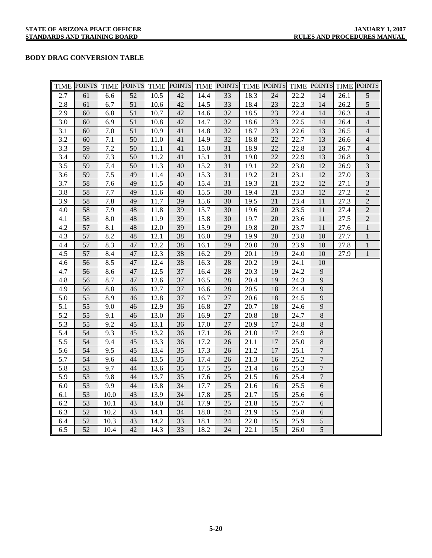## **BODY DRAG CONVERSION TABLE**

|     | TIME POINTS TIME POINTS TIME POINTS |         |        |          |    |      | TIME POINTS |      | TIME POINTS TIME POINTS TIME POINTS |      |                  |      |                  |
|-----|-------------------------------------|---------|--------|----------|----|------|-------------|------|-------------------------------------|------|------------------|------|------------------|
| 2.7 | 61                                  | 6.6     | 52     | 10.5     | 42 | 14.4 | 33          | 18.3 | 24                                  | 22.2 | 14               | 26.1 | 5                |
| 2.8 | 61                                  | 6.7     | 51     | 10.6     | 42 | 14.5 | 33          | 18.4 | 23                                  | 22.3 | 14               | 26.2 | 5                |
| 2.9 | 60                                  | 6.8     | 51     | $10.7\,$ | 42 | 14.6 | 32          | 18.5 | 23                                  | 22.4 | 14               | 26.3 | $\overline{4}$   |
| 3.0 | 60                                  | 6.9     | 51     | 10.8     | 42 | 14.7 | 32          | 18.6 | 23                                  | 22.5 | 14               | 26.4 | 4                |
| 3.1 | 60                                  | 7.0     | 51     | 10.9     | 41 | 14.8 | 32          | 18.7 | 23                                  | 22.6 | 13               | 26.5 | $\overline{4}$   |
| 3.2 | 60                                  | 7.1     | 50     | 11.0     | 41 | 14.9 | 32          | 18.8 | 22                                  | 22.7 | 13               | 26.6 | $\overline{4}$   |
| 3.3 | 59                                  | 7.2     | 50     | 11.1     | 41 | 15.0 | 31          | 18.9 | 22                                  | 22.8 | 13               | 26.7 | $\overline{4}$   |
| 3.4 | 59                                  | 7.3     | 50     | 11.2     | 41 | 15.1 | 31          | 19.0 | 22                                  | 22.9 | 13               | 26.8 | 3                |
| 3.5 | 59                                  | 7.4     | 50     | 11.3     | 40 | 15.2 | 31          | 19.1 | 22                                  | 23.0 | 12               | 26.9 | $\mathfrak{Z}$   |
| 3.6 | 59                                  | 7.5     | 49     | 11.4     | 40 | 15.3 | 31          | 19.2 | 21                                  | 23.1 | 12               | 27.0 | 3                |
| 3.7 | 58                                  | 7.6     | 49     | 11.5     | 40 | 15.4 | 31          | 19.3 | 21                                  | 23.2 | 12               | 27.1 | 3                |
| 3.8 | 58                                  | 7.7     | 49     | 11.6     | 40 | 15.5 | 30          | 19.4 | 21                                  | 23.3 | 12               | 27.2 | $\mathbf{2}$     |
| 3.9 | 58                                  | 7.8     | 49     | 11.7     | 39 | 15.6 | 30          | 19.5 | 21                                  | 23.4 | 11               | 27.3 | $\boldsymbol{2}$ |
| 4.0 | 58                                  | 7.9     | 48     | 11.8     | 39 | 15.7 | 30          | 19.6 | $20\,$                              | 23.5 | 11               | 27.4 | $\overline{c}$   |
| 4.1 | 58                                  | 8.0     | 48     | 11.9     | 39 | 15.8 | 30          | 19.7 | $20\,$                              | 23.6 | 11               | 27.5 | $\overline{c}$   |
| 4.2 | 57                                  | 8.1     | 48     | 12.0     | 39 | 15.9 | 29          | 19.8 | 20                                  | 23.7 | 11               | 27.6 | $\mathbf{1}$     |
| 4.3 | 57                                  | 8.2     | 48     | 12.1     | 38 | 16.0 | 29          | 19.9 | $20\,$                              | 23.8 | 10               | 27.7 | $\mathbf{1}$     |
| 4.4 | 57                                  | 8.3     | 47     | 12.2     | 38 | 16.1 | 29          | 20.0 | 20                                  | 23.9 | 10               | 27.8 | $\mathbf{1}$     |
| 4.5 | 57                                  | 8.4     | $47\,$ | 12.3     | 38 | 16.2 | 29          | 20.1 | 19                                  | 24.0 | 10               | 27.9 | $\mathbf{1}$     |
| 4.6 | 56                                  | 8.5     | 47     | 12.4     | 38 | 16.3 | 28          | 20.2 | 19                                  | 24.1 | 10               |      |                  |
| 4.7 | 56                                  | 8.6     | 47     | 12.5     | 37 | 16.4 | 28          | 20.3 | 19                                  | 24.2 | 9                |      |                  |
| 4.8 | 56                                  | 8.7     | 47     | 12.6     | 37 | 16.5 | 28          | 20.4 | 19                                  | 24.3 | 9                |      |                  |
| 4.9 | 56                                  | $8.8\,$ | 46     | 12.7     | 37 | 16.6 | 28          | 20.5 | 18                                  | 24.4 | 9                |      |                  |
| 5.0 | 55                                  | 8.9     | 46     | 12.8     | 37 | 16.7 | 27          | 20.6 | 18                                  | 24.5 | 9                |      |                  |
| 5.1 | 55                                  | 9.0     | 46     | 12.9     | 36 | 16.8 | 27          | 20.7 | 18                                  | 24.6 | 9                |      |                  |
| 5.2 | 55                                  | 9.1     | 46     | 13.0     | 36 | 16.9 | 27          | 20.8 | 18                                  | 24.7 | 8                |      |                  |
| 5.3 | 55                                  | 9.2     | 45     | 13.1     | 36 | 17.0 | 27          | 20.9 | 17                                  | 24.8 | $8\,$            |      |                  |
| 5.4 | 54                                  | 9.3     | 45     | 13.2     | 36 | 17.1 | 26          | 21.0 | 17                                  | 24.9 | $8\,$            |      |                  |
| 5.5 | 54                                  | 9.4     | 45     | 13.3     | 36 | 17.2 | 26          | 21.1 | 17                                  | 25.0 | $8\,$            |      |                  |
| 5.6 | 54                                  | 9.5     | 45     | 13.4     | 35 | 17.3 | 26          | 21.2 | 17                                  | 25.1 | $\boldsymbol{7}$ |      |                  |
| 5.7 | 54                                  | 9.6     | 44     | 13.5     | 35 | 17.4 | 26          | 21.3 | 16                                  | 25.2 | $\boldsymbol{7}$ |      |                  |
| 5.8 | 53                                  | 9.7     | 44     | 13.6     | 35 | 17.5 | 25          | 21.4 | 16                                  | 25.3 | $\overline{7}$   |      |                  |
| 5.9 | 53                                  | 9.8     | 44     | 13.7     | 35 | 17.6 | 25          | 21.5 | 16                                  | 25.4 | $\tau$           |      |                  |
| 6.0 | 53                                  | 9.9     | 44     | 13.8     | 34 | 17.7 | 25          | 21.6 | 16                                  | 25.5 | 6                |      |                  |
| 6.1 | 53                                  | 10.0    | 43     | 13.9     | 34 | 17.8 | 25          | 21.7 | 15                                  | 25.6 | $\sqrt{6}$       |      |                  |
| 6.2 | 53                                  | 10.1    | 43     | 14.0     | 34 | 17.9 | 25          | 21.8 | 15                                  | 25.7 | 6                |      |                  |
| 6.3 | 52                                  | 10.2    | 43     | 14.1     | 34 | 18.0 | 24          | 21.9 | 15                                  | 25.8 | $\boldsymbol{6}$ |      |                  |
| 6.4 | 52                                  | 10.3    | 43     | 14.2     | 33 | 18.1 | 24          | 22.0 | 15                                  | 25.9 | 5                |      |                  |
| 6.5 | 52                                  | 10.4    | 42     | 14.3     | 33 | 18.2 | 24          | 22.1 | 15                                  | 26.0 | $\overline{5}$   |      |                  |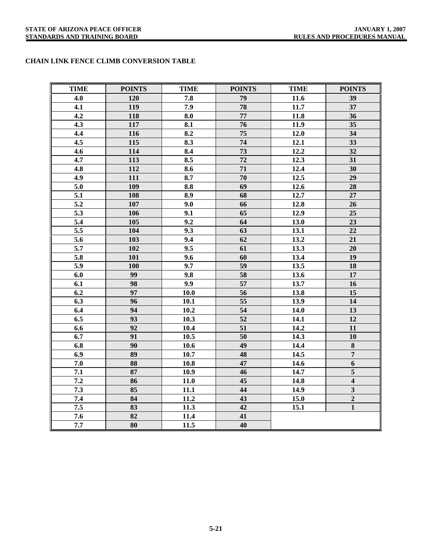## **CHAIN LINK FENCE CLIMB CONVERSION TABLE**

| <b>TIME</b> | <b>POINTS</b> | <b>TIME</b>               | <b>POINTS</b>   | <b>TIME</b> | <b>POINTS</b>           |
|-------------|---------------|---------------------------|-----------------|-------------|-------------------------|
| 4.0         | 120           | 7.8                       | 79              | 11.6        | 39                      |
| 4.1         | 119           | 7.9                       | 78              | 11.7        | 37                      |
| 4.2         | 118           | 8.0                       | 77              | 11.8        | 36                      |
| 4.3         | 117           | 8.1                       | 76              | 11.9        | 35                      |
| 4.4         | 116           | 8.2                       | $\overline{75}$ | 12.0        | 34                      |
| 4.5         | 115           | $\overline{\mathbf{8.3}}$ | 74              | 12.1        | 33                      |
| 4.6         | 114           | 8.4                       | 73              | 12.2        | 32                      |
| 4.7         | 113           | 8.5                       | 72              | 12.3        | 31                      |
| 4.8         | 112           | 8.6                       | 71              | 12.4        | 30                      |
| 4.9         | 111           | 8.7                       | 70              | 12.5        | 29                      |
| 5.0         | 109           | 8.8                       | 69              | 12.6        | 28                      |
| 5.1         | 108           | 8.9                       | 68              | 12.7        | 27                      |
| 5.2         | 107           | 9.0                       | 66              | 12.8        | 26                      |
| 5.3         | 106           | 9.1                       | 65              | 12.9        | 25                      |
| 5.4         | 105           | 9.2                       | 64              | 13.0        | 23                      |
| 5.5         | 104           | 9.3                       | 63              | 13.1        | 22                      |
| 5.6         | 103           | 9.4                       | 62              | 13.2        | 21                      |
| 5.7         | 102           | 9.5                       | 61              | 13.3        | 20                      |
| 5.8         | 101           | 9.6                       | 60              | 13.4        | 19                      |
| 5.9         | 100           | 9.7                       | 59              | 13.5        | 18                      |
| 6.0         | 99            | 9.8                       | 58              | 13.6        | 17                      |
| 6.1         | 98            | 9.9                       | 57              | 13.7        | 16                      |
| 6.2         | 97            | 10.0                      | 56              | 13.8        | 15                      |
| 6.3         | 96            | 10.1                      | 55              | 13.9        | 14                      |
| 6.4         | 94            | 10.2                      | 54              | 14.0        | 13                      |
| 6.5         | 93            | 10.3                      | 52              | 14.1        | 12                      |
| 6.6         | 92            | 10.4                      | 51              | 14.2        | 11                      |
| 6.7         | 91            | 10.5                      | 50              | 14.3        | 10                      |
| 6.8         | 90            | 10.6                      | 49              | 14.4        | 8                       |
| 6.9         | 89            | 10.7                      | 48              | 14.5        | $\overline{7}$          |
| 7.0         | 88            | 10.8                      | 47              | 14.6        | 6                       |
| 7.1         | 87            | 10.9                      | 46              | 14.7        | 5                       |
| $\bf 7.2$   | 86            | 11.0                      | 45              | 14.8        | $\overline{\mathbf{4}}$ |
| 7.3         | 85            | 11.1                      | 44              | 14.9        | $\mathbf{3}$            |
| 7.4         | 84            | 11.2                      | 43              | 15.0        | $\mathbf 2$             |
| 7.5         | 83            | 11.3                      | 42              | 15.1        | $\mathbf{1}$            |
| 7.6         | 82            | 11.4                      | 41              |             |                         |
| 7.7         | 80            | 11.5                      | 40              |             |                         |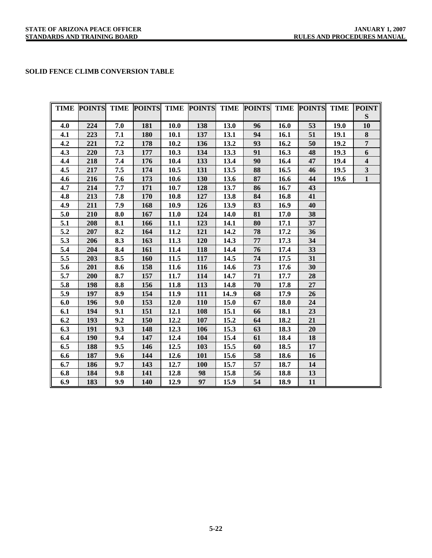## **SOLID FENCE CLIMB CONVERSION TABLE**

|     |     |     |            |             |            |             | TIME POINTS TIME POINTS TIME POINTS TIME POINTS TIME POINTS TIME |      |    |      | <b>POINT</b>            |
|-----|-----|-----|------------|-------------|------------|-------------|------------------------------------------------------------------|------|----|------|-------------------------|
|     |     |     |            |             |            |             |                                                                  |      |    |      | ${\bf S}$               |
| 4.0 | 224 | 7.0 | 181        | <b>10.0</b> | 138        | 13.0        | 96                                                               | 16.0 | 53 | 19.0 | 10                      |
| 4.1 | 223 | 7.1 | 180        | 10.1        | 137        | 13.1        | 94                                                               | 16.1 | 51 | 19.1 | 8                       |
| 4.2 | 221 | 7.2 | 178        | 10.2        | 136        | 13.2        | 93                                                               | 16.2 | 50 | 19.2 | $\overline{7}$          |
| 4.3 | 220 | 7.3 | 177        | 10.3        | 134        | 13.3        | 91                                                               | 16.3 | 48 | 19.3 | 6                       |
| 4.4 | 218 | 7.4 | 176        | 10.4        | 133        | 13.4        | 90                                                               | 16.4 | 47 | 19.4 | $\overline{\mathbf{4}}$ |
| 4.5 | 217 | 7.5 | 174        | 10.5        | 131        | 13.5        | 88                                                               | 16.5 | 46 | 19.5 | $\mathbf{3}$            |
| 4.6 | 216 | 7.6 | 173        | 10.6        | 130        | 13.6        | 87                                                               | 16.6 | 44 | 19.6 | $\mathbf{1}$            |
| 4.7 | 214 | 7.7 | 171        | 10.7        | 128        | 13.7        | 86                                                               | 16.7 | 43 |      |                         |
| 4.8 | 213 | 7.8 | 170        | 10.8        | 127        | 13.8        | 84                                                               | 16.8 | 41 |      |                         |
| 4.9 | 211 | 7.9 | 168        | 10.9        | 126        | 13.9        | 83                                                               | 16.9 | 40 |      |                         |
| 5.0 | 210 | 8.0 | 167        | 11.0        | 124        | <b>14.0</b> | 81                                                               | 17.0 | 38 |      |                         |
| 5.1 | 208 | 8.1 | 166        | 11.1        | 123        | 14.1        | 80                                                               | 17.1 | 37 |      |                         |
| 5.2 | 207 | 8.2 | 164        | 11.2        | 121        | 14.2        | 78                                                               | 17.2 | 36 |      |                         |
| 5.3 | 206 | 8.3 | 163        | 11.3        | 120        | 14.3        | 77                                                               | 17.3 | 34 |      |                         |
| 5.4 | 204 | 8.4 | 161        | 11.4        | 118        | 14.4        | 76                                                               | 17.4 | 33 |      |                         |
| 5.5 | 203 | 8.5 | <b>160</b> | 11.5        | 117        | 14.5        | 74                                                               | 17.5 | 31 |      |                         |
| 5.6 | 201 | 8.6 | 158        | 11.6        | 116        | 14.6        | 73                                                               | 17.6 | 30 |      |                         |
| 5.7 | 200 | 8.7 | 157        | 11.7        | 114        | 14.7        | 71                                                               | 17.7 | 28 |      |                         |
| 5.8 | 198 | 8.8 | 156        | 11.8        | 113        | 14.8        | 70                                                               | 17.8 | 27 |      |                         |
| 5.9 | 197 | 8.9 | 154        | 11.9        | 111        | 14.9        | 68                                                               | 17.9 | 26 |      |                         |
| 6.0 | 196 | 9.0 | 153        | 12.0        | 110        | 15.0        | 67                                                               | 18.0 | 24 |      |                         |
| 6.1 | 194 | 9.1 | 151        | 12.1        | 108        | 15.1        | 66                                                               | 18.1 | 23 |      |                         |
| 6.2 | 193 | 9.2 | 150        | 12.2        | 107        | 15.2        | 64                                                               | 18.2 | 21 |      |                         |
| 6.3 | 191 | 9.3 | 148        | 12.3        | 106        | 15.3        | 63                                                               | 18.3 | 20 |      |                         |
| 6.4 | 190 | 9.4 | 147        | 12.4        | 104        | 15.4        | 61                                                               | 18.4 | 18 |      |                         |
| 6.5 | 188 | 9.5 | 146        | 12.5        | 103        | 15.5        | 60                                                               | 18.5 | 17 |      |                         |
| 6.6 | 187 | 9.6 | 144        | 12.6        | 101        | 15.6        | 58                                                               | 18.6 | 16 |      |                         |
| 6.7 | 186 | 9.7 | 143        | 12.7        | <b>100</b> | 15.7        | 57                                                               | 18.7 | 14 |      |                         |
| 6.8 | 184 | 9.8 | 141        | 12.8        | 98         | 15.8        | 56                                                               | 18.8 | 13 |      |                         |
| 6.9 | 183 | 9.9 | <b>140</b> | 12.9        | 97         | 15.9        | 54                                                               | 18.9 | 11 |      |                         |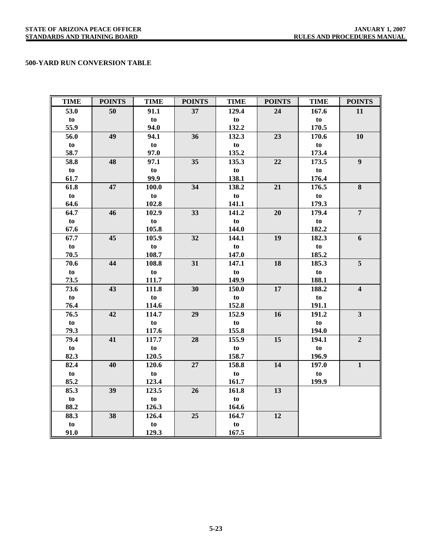## **500-YARD RUN CONVERSION TABLE**

| <b>TIME</b> | <b>POINTS</b> | <b>TIME</b>  | <b>POINTS</b> | <b>TIME</b> | <b>POINTS</b> | <b>TIME</b> | <b>POINTS</b>           |
|-------------|---------------|--------------|---------------|-------------|---------------|-------------|-------------------------|
| 53.0        | 50            | 91.1         | 37            | 129.4       | 24            | 167.6       | 11                      |
| to          |               | to           |               | to          |               | to          |                         |
| 55.9        |               | 94.0         |               | 132.2       |               | 170.5       |                         |
| 56.0        | 49            | 94.1         | 36            | 132.3       | 23            | 170.6       | 10                      |
| to          |               | to           |               | to          |               | to          |                         |
| 58.7        |               | 97.0         |               | 135.2       |               | 173.4       |                         |
| 58.8        | 48            | 97.1         | 35            | 135.3       | 22            | 173.5       | $\boldsymbol{9}$        |
| to          |               | to           |               | to          |               | to          |                         |
| 61.7        |               | 99.9         |               | 138.1       |               | 176.4       |                         |
| 61.8        | 47            | 100.0        | 34            | 138.2       | 21            | 176.5       | 8                       |
| to          |               | to           |               | to          |               | to          |                         |
| 64.6        |               | 102.8        |               | 141.1       |               | 179.3       |                         |
| 64.7        | 46            | 102.9        | 33            | 141.2       | 20            | 179.4       | $\overline{7}$          |
| to          |               | to           |               | to          |               | to          |                         |
| 67.6        |               | 105.8        |               | 144.0       |               | 182.2       |                         |
| 67.7        | 45            | 105.9        | 32            | 144.1       | 19            | 182.3       | 6                       |
| to          |               | to           |               | to          |               | to          |                         |
| 70.5        |               | 108.7        |               | 147.0       |               | 185.2       |                         |
| 70.6        | 44            | 108.8        | 31            | 147.1       | 18            | 185.3       | 5                       |
| to          |               | to           |               | to          |               | to          |                         |
| 73.5        |               | 111.7        |               | 149.9       |               | 188.1       |                         |
| 73.6        | 43            | 111.8        | 30            | 150.0       | 17            | 188.2       | $\overline{\mathbf{4}}$ |
| to          |               | to           |               | to          |               | to          |                         |
| 76.4        |               | 114.6        |               | 152.8       |               | 191.1       |                         |
| 76.5        | 42            | 114.7        | 29            | 152.9       | 16            | 191.2       | $\overline{\mathbf{3}}$ |
| to          |               | to           |               | to          |               | to          |                         |
| 79.3        |               | 117.6        |               | 155.8       |               | 194.0       |                         |
| 79.4        | 41            | 117.7        | 28            | 155.9       | 15            | 194.1       | $\overline{2}$          |
| to          |               | to           |               | to          |               | to          |                         |
| 82.3        |               | 120.5        |               | 158.7       |               | 196.9       |                         |
| 82.4        | 40            | 120.6        | 27            | 158.8       | 14            | 197.0       | $\mathbf{1}$            |
| to          |               | to           |               | to          |               | to          |                         |
| 85.2        |               | 123.4        |               | 161.7       |               | 199.9       |                         |
| 85.3        | 39            | 123.5        | 26            | 161.8       | 13            |             |                         |
| to          |               | $\mathbf{t}$ |               | to          |               |             |                         |
| 88.2        |               | 126.3        |               | 164.6       |               |             |                         |
| 88.3        | 38            | 126.4        | 25            | 164.7       | 12            |             |                         |
| to          |               | to           |               | to          |               |             |                         |
| 91.0        |               | 129.3        |               | 167.5       |               |             |                         |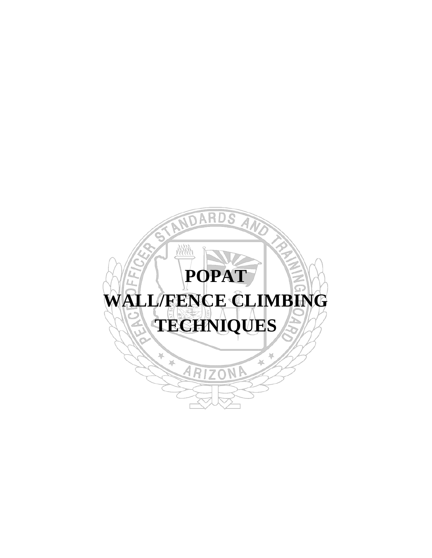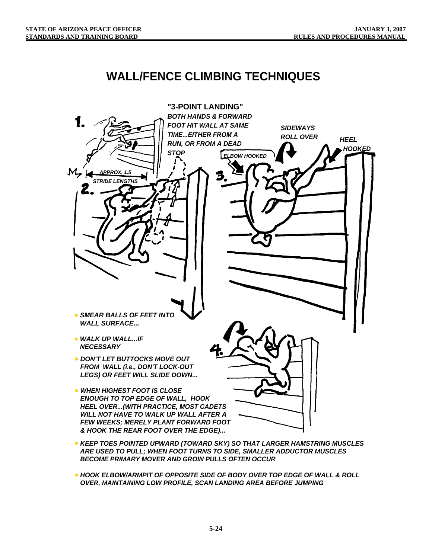# **WALL/FENCE CLIMBING TECHNIQUES**



- *KEEP TOES POINTED UPWARD (TOWARD SKY) SO THAT LARGER HAMSTRING MUSCLES ARE USED TO PULL; WHEN FOOT TURNS TO SIDE, SMALLER ADDUCTOR MUSCLES BECOME PRIMARY MOVER AND GROIN PULLS OFTEN OCCUR*
- *HOOK ELBOW/ARMPIT OF OPPOSITE SIDE OF BODY OVER TOP EDGE OF WALL & ROLL OVER, MAINTAINING LOW PROFILE, SCAN LANDING AREA BEFORE JUMPING*